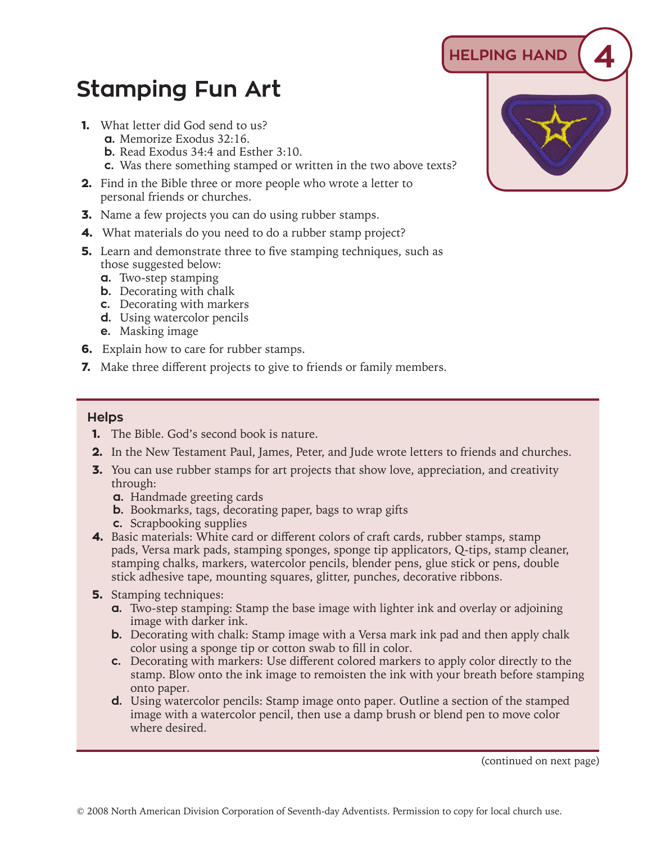## **Stamping Fun Art**

- **1.** What letter did God send to us?
	- **a.** Memorize Exodus 32:16.
	- **b.** Read Exodus 34:4 and Esther 3:10.
	- **c.** Was there something stamped or written in the two above texts?
- **2.** Find in the Bible three or more people who wrote a letter to personal friends or churches.
- **3.** Name a few projects you can do using rubber stamps.
- **4.** What materials do you need to do a rubber stamp project?
- **5.** Learn and demonstrate three to five stamping techniques, such as those suggested below:
	- **a.** Two-step stamping
	- **b.** Decorating with chalk
	- **c.** Decorating with markers
	- **d.** Using watercolor pencils
	- **e.** Masking image
- **6.** Explain how to care for rubber stamps.
- **7.** Make three different projects to give to friends or family members.

## **Helps**

- **1.** The Bible. God's second book is nature.
- **2.** In the New Testament Paul, James, Peter, and Jude wrote letters to friends and churches.
- **3.** You can use rubber stamps for art projects that show love, appreciation, and creativity through:
	- **a.** Handmade greeting cards
	- **b.** Bookmarks, tags, decorating paper, bags to wrap gifts
	- **c.** Scrapbooking supplies
- **4.** Basic materials: White card or different colors of craft cards, rubber stamps, stamp pads, Versa mark pads, stamping sponges, sponge tip applicators, Q-tips, stamp cleaner, stamping chalks, markers, watercolor pencils, blender pens, glue stick or pens, double stick adhesive tape, mounting squares, glitter, punches, decorative ribbons.
- **5.** Stamping techniques:
	- **a.** Two-step stamping: Stamp the base image with lighter ink and overlay or adjoining image with darker ink.
	- **b.** Decorating with chalk: Stamp image with a Versa mark ink pad and then apply chalk color using a sponge tip or cotton swab to fill in color.
	- **c.** Decorating with markers: Use different colored markers to apply color directly to the stamp. Blow onto the ink image to remoisten the ink with your breath before stamping onto paper.
	- **d.** Using watercolor pencils: Stamp image onto paper. Outline a section of the stamped image with a watercolor pencil, then use a damp brush or blend pen to move color where desired.

 **HELPING HAND 4**

(continued on next page)